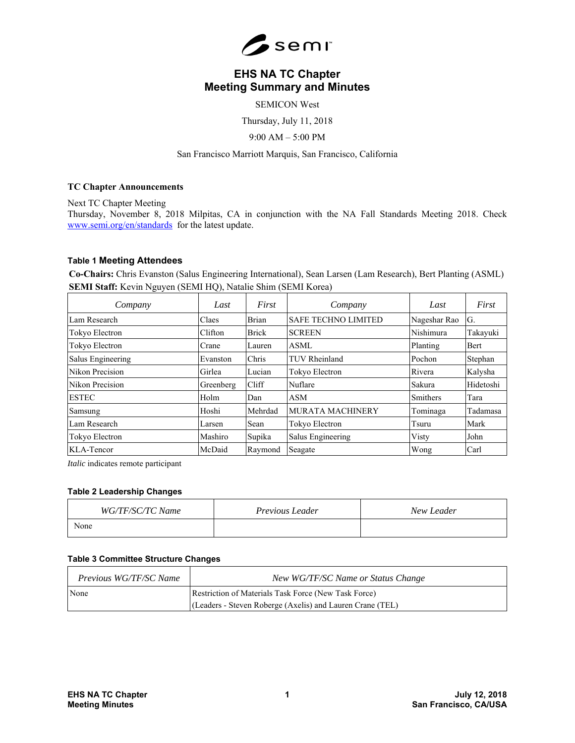

# **EHS NA TC Chapter Meeting Summary and Minutes**

SEMICON West

Thursday, July 11, 2018

9:00 AM – 5:00 PM

San Francisco Marriott Marquis, San Francisco, California

#### **TC Chapter Announcements**

Next TC Chapter Meeting

Thursday, November 8, 2018 Milpitas, CA in conjunction with the NA Fall Standards Meeting 2018. Check www.semi.org/en/standards for the latest update.

### **Table 1 Meeting Attendees**

**Co-Chairs:** Chris Evanston (Salus Engineering International), Sean Larsen (Lam Research), Bert Planting (ASML) **SEMI Staff:** Kevin Nguyen (SEMI HQ), Natalie Shim (SEMI Korea)

| Company           | Last      | First        | Company                    | Last            | First     |
|-------------------|-----------|--------------|----------------------------|-----------------|-----------|
| Lam Research      | Claes     | <b>Brian</b> | <b>SAFE TECHNO LIMITED</b> | Nageshar Rao    | G.        |
| Tokyo Electron    | Clifton   | <b>Brick</b> | <b>SCREEN</b>              | Nishimura       | Takayuki  |
| Tokyo Electron    | Crane     | Lauren       | <b>ASML</b>                | Planting        | Bert      |
| Salus Engineering | Evanston  | Chris        | <b>TUV Rheinland</b>       | Pochon          | Stephan   |
| Nikon Precision   | Girlea    | Lucian       | Tokyo Electron             | Rivera          | Kalysha   |
| Nikon Precision   | Greenberg | Cliff        | Nuflare                    | Sakura          | Hidetoshi |
| <b>ESTEC</b>      | Holm      | Dan          | <b>ASM</b>                 | <b>Smithers</b> | Tara      |
| Samsung           | Hoshi     | Mehrdad      | <b>MURATA MACHINERY</b>    | Tominaga        | Tadamasa  |
| Lam Research      | Larsen    | Sean         | Tokyo Electron             | Tsuru           | Mark      |
| Tokyo Electron    | Mashiro   | Supika       | Salus Engineering          | Visty           | John      |
| KLA-Tencor        | McDaid    | Raymond      | Seagate                    | Wong            | Carl      |

*Italic* indicates remote participant

#### **Table 2 Leadership Changes**

| WG/TF/SC/TC Name | <i>Previous Leader</i> | New Leader |
|------------------|------------------------|------------|
| None             |                        |            |

#### **Table 3 Committee Structure Changes**

| Previous WG/TF/SC Name | New WG/TF/SC Name or Status Change                        |
|------------------------|-----------------------------------------------------------|
| None                   | Restriction of Materials Task Force (New Task Force)      |
|                        | (Leaders - Steven Roberge (Axelis) and Lauren Crane (TEL) |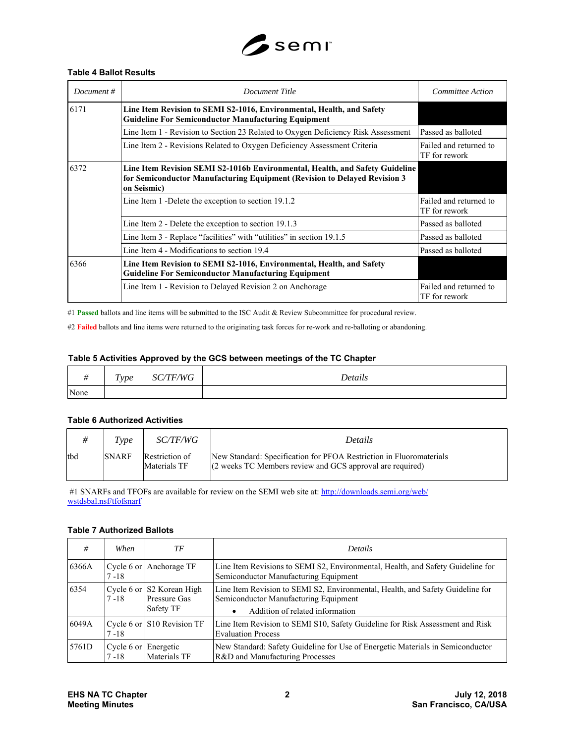

## **Table 4 Ballot Results**

| Document $#$ | Document Title                                                                                                                                                           | Committee Action                        |
|--------------|--------------------------------------------------------------------------------------------------------------------------------------------------------------------------|-----------------------------------------|
| 6171         | Line Item Revision to SEMI S2-1016, Environmental, Health, and Safety<br><b>Guideline For Semiconductor Manufacturing Equipment</b>                                      |                                         |
|              | Line Item 1 - Revision to Section 23 Related to Oxygen Deficiency Risk Assessment                                                                                        | Passed as balloted                      |
|              | Line Item 2 - Revisions Related to Oxygen Deficiency Assessment Criteria                                                                                                 | Failed and returned to<br>TF for rework |
| 6372         | Line Item Revision SEMI S2-1016b Environmental, Health, and Safety Guideline<br>for Semiconductor Manufacturing Equipment (Revision to Delayed Revision 3<br>on Seismic) |                                         |
|              | Line Item 1 - Delete the exception to section 19.1.2                                                                                                                     | Failed and returned to<br>TF for rework |
|              | Line Item 2 - Delete the exception to section 19.1.3                                                                                                                     | Passed as balloted                      |
|              | Line Item 3 - Replace "facilities" with "utilities" in section 19.1.5                                                                                                    | Passed as balloted                      |
|              | Line Item 4 - Modifications to section 19.4                                                                                                                              | Passed as balloted                      |
| 6366         | Line Item Revision to SEMI S2-1016, Environmental, Health, and Safety<br><b>Guideline For Semiconductor Manufacturing Equipment</b>                                      |                                         |
|              | Line Item 1 - Revision to Delayed Revision 2 on Anchorage                                                                                                                | Failed and returned to<br>TF for rework |

#1 **Passed** ballots and line items will be submitted to the ISC Audit & Review Subcommittee for procedural review.

#2 **Failed** ballots and line items were returned to the originating task forces for re-work and re-balloting or abandoning.

#### **Table 5 Activities Approved by the GCS between meetings of the TC Chapter**

|      | $\mathbf{r}$<br><i>Type</i> | TF/WG | Details |
|------|-----------------------------|-------|---------|
| None |                             |       |         |

### **Table 6 Authorized Activities**

|     | Type         | <i>SC/TF/WG</i>                | <i>Details</i>                                                                                                                   |
|-----|--------------|--------------------------------|----------------------------------------------------------------------------------------------------------------------------------|
| tbd | <b>SNARF</b> | Restriction of<br>Materials TF | New Standard: Specification for PFOA Restriction in Fluoromaterials<br>(2 weeks TC Members review and GCS approval are required) |

#1 SNARFs and TFOFs are available for review on the SEMI web site at: http://downloads.semi.org/web/ wstdsbal.nsf/tfofsnarf

#### **Table 7 Authorized Ballots**

| #     | When                           | ТF                                                     | <b>Details</b>                                                                                                                                                  |
|-------|--------------------------------|--------------------------------------------------------|-----------------------------------------------------------------------------------------------------------------------------------------------------------------|
| 6366A | 7 -18                          | Cycle 6 or Anchorage TF                                | Line Item Revisions to SEMI S2, Environmental, Health, and Safety Guideline for<br>Semiconductor Manufacturing Equipment                                        |
| 6354  | 7 - 18                         | Cycle 6 or S2 Korean High<br>Pressure Gas<br>Safety TF | Line Item Revision to SEMI S2, Environmental, Health, and Safety Guideline for<br>Semiconductor Manufacturing Equipment<br>Addition of related information<br>٠ |
| 6049A | 7 - 18                         | Cycle 6 or S10 Revision TF                             | Line Item Revision to SEMI S10, Safety Guideline for Risk Assessment and Risk<br><b>Evaluation Process</b>                                                      |
| 5761D | Cycle 6 or Energetic<br>7 - 18 | Materials TF                                           | New Standard: Safety Guideline for Use of Energetic Materials in Semiconductor<br>R&D and Manufacturing Processes                                               |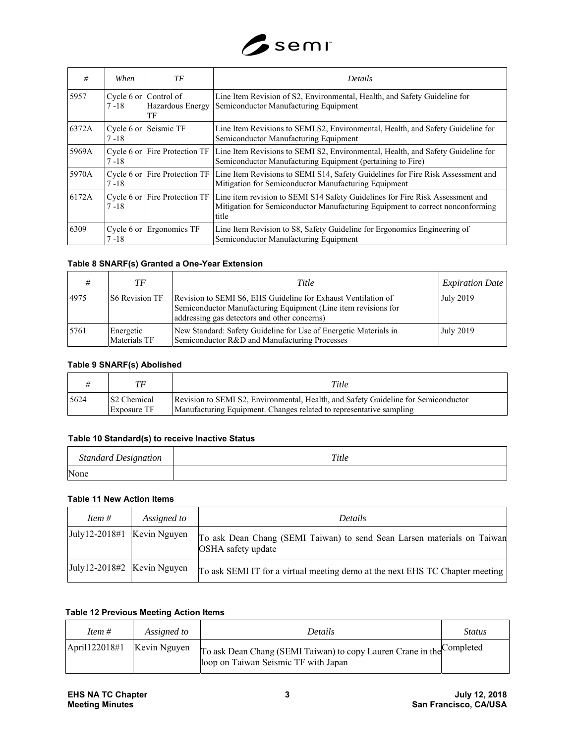

| #     | When     | TF                                              | Details                                                                                                                                                                 |
|-------|----------|-------------------------------------------------|-------------------------------------------------------------------------------------------------------------------------------------------------------------------------|
| 5957  | $7 - 18$ | Cycle 6 or Control of<br>Hazardous Energy<br>TF | Line Item Revision of S2, Environmental, Health, and Safety Guideline for<br>Semiconductor Manufacturing Equipment                                                      |
| 6372A | $7 - 18$ | Cycle 6 or Seismic TF                           | Line Item Revisions to SEMI S2, Environmental, Health, and Safety Guideline for<br>Semiconductor Manufacturing Equipment                                                |
| 5969A | $7 - 18$ | Cycle 6 or Fire Protection TF                   | Line Item Revisions to SEMI S2, Environmental, Health, and Safety Guideline for<br>Semiconductor Manufacturing Equipment (pertaining to Fire)                           |
| 5970A | $7 - 18$ | Cycle 6 or Fire Protection TF                   | Line Item Revisions to SEMI S14, Safety Guidelines for Fire Risk Assessment and<br>Mitigation for Semiconductor Manufacturing Equipment                                 |
| 6172A | $7 - 18$ | Cycle 6 or Fire Protection TF                   | Line item revision to SEMI S14 Safety Guidelines for Fire Risk Assessment and<br>Mitigation for Semiconductor Manufacturing Equipment to correct nonconforming<br>title |
| 6309  | $7 - 18$ | Cycle 6 or Ergonomics TF                        | Line Item Revision to S8, Safety Guideline for Ergonomics Engineering of<br>Semiconductor Manufacturing Equipment                                                       |

## **Table 8 SNARF(s) Granted a One-Year Extension**

|      | TF                        | Title                                                                                                                                                                           | <i>Expiration Date</i> |
|------|---------------------------|---------------------------------------------------------------------------------------------------------------------------------------------------------------------------------|------------------------|
| 4975 | <b>S6 Revision TF</b>     | Revision to SEMI S6, EHS Guideline for Exhaust Ventilation of<br>Semiconductor Manufacturing Equipment (Line item revisions for<br>addressing gas detectors and other concerns) | July 2019              |
| 5761 | Energetic<br>Materials TF | New Standard: Safety Guideline for Use of Energetic Materials in<br>Semiconductor R&D and Manufacturing Processes                                                               | July 2019              |

#### **Table 9 SNARF(s) Abolished**

|      |                                   | Title                                                                                                                                                     |
|------|-----------------------------------|-----------------------------------------------------------------------------------------------------------------------------------------------------------|
| 5624 | S2 Chemical<br><b>Exposure TF</b> | Revision to SEMI S2, Environmental, Health, and Safety Guideline for Semiconductor<br>Manufacturing Equipment. Changes related to representative sampling |

## **Table 10 Standard(s) to receive Inactive Status**

| <b>Standard Designation</b> | Title |
|-----------------------------|-------|
| None                        |       |

#### **Table 11 New Action Items**

| <i>Item</i> $#$              | Assigned to | Details                                                                                       |
|------------------------------|-------------|-----------------------------------------------------------------------------------------------|
| $July12-2018#1$ Kevin Nguyen |             | To ask Dean Chang (SEMI Taiwan) to send Sean Larsen materials on Taiwan<br>OSHA safety update |
| $July12-2018#2$ Kevin Nguyen |             | To ask SEMI IT for a virtual meeting demo at the next EHS TC Chapter meeting                  |

## **Table 12 Previous Meeting Action Items**

| Item $#$                             | Assigned to | Details                                                                                                       | <i>Status</i> |
|--------------------------------------|-------------|---------------------------------------------------------------------------------------------------------------|---------------|
| $\text{April}122018\#1$ Kevin Nguyen |             | To ask Dean Chang (SEMI Taiwan) to copy Lauren Crane in the Completed<br>loop on Taiwan Seismic TF with Japan |               |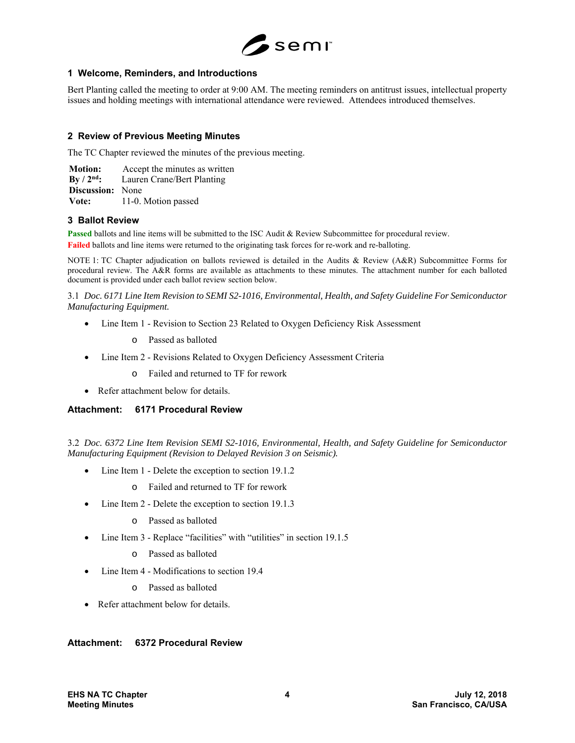

### **1 Welcome, Reminders, and Introductions**

Bert Planting called the meeting to order at 9:00 AM. The meeting reminders on antitrust issues, intellectual property issues and holding meetings with international attendance were reviewed. Attendees introduced themselves.

## **2 Review of Previous Meeting Minutes**

The TC Chapter reviewed the minutes of the previous meeting.

**Motion:** Accept the minutes as written **By / 2nd:** Lauren Crane/Bert Planting **Discussion:** None **Vote:** 11-0. Motion passed

### **3 Ballot Review**

**Passed** ballots and line items will be submitted to the ISC Audit & Review Subcommittee for procedural review. **Failed** ballots and line items were returned to the originating task forces for re-work and re-balloting.

NOTE 1: TC Chapter adjudication on ballots reviewed is detailed in the Audits & Review (A&R) Subcommittee Forms for procedural review. The A&R forms are available as attachments to these minutes. The attachment number for each balloted document is provided under each ballot review section below.

3.1 *Doc. 6171 Line Item Revision to SEMI S2-1016, Environmental, Health, and Safety Guideline For Semiconductor Manufacturing Equipment.* 

- Line Item 1 Revision to Section 23 Related to Oxygen Deficiency Risk Assessment
	- o Passed as balloted
- Line Item 2 Revisions Related to Oxygen Deficiency Assessment Criteria
	- o Failed and returned to TF for rework
- Refer attachment below for details.

### **Attachment: 6171 Procedural Review**

3.2 *Doc. 6372 Line Item Revision SEMI S2-1016, Environmental, Health, and Safety Guideline for Semiconductor Manufacturing Equipment (Revision to Delayed Revision 3 on Seismic).* 

- Line Item 1 Delete the exception to section 19.1.2
	- o Failed and returned to TF for rework
- Line Item 2 Delete the exception to section 19.1.3
	- o Passed as balloted
- Line Item 3 Replace "facilities" with "utilities" in section 19.1.5
	- o Passed as balloted
- Line Item 4 Modifications to section 19.4
	- o Passed as balloted
- Refer attachment below for details.

### **Attachment: 6372 Procedural Review**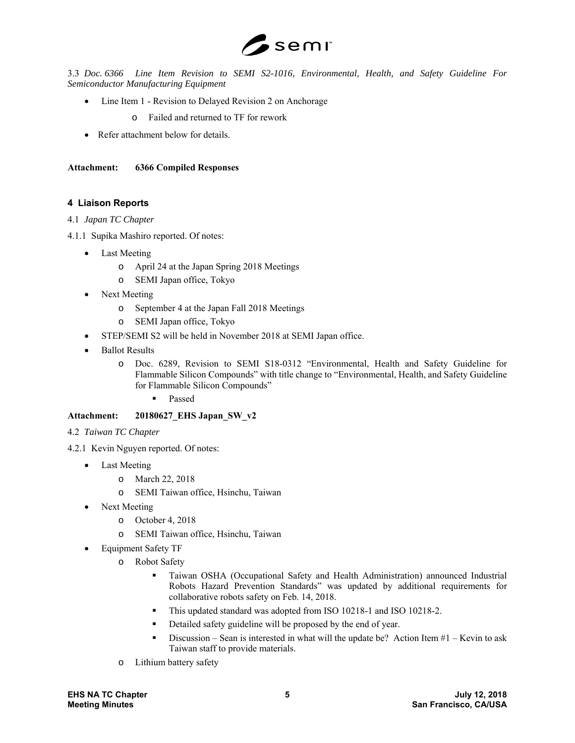

3.3 *Doc. 6366 Line Item Revision to SEMI S2-1016, Environmental, Health, and Safety Guideline For Semiconductor Manufacturing Equipment* 

- Line Item 1 Revision to Delayed Revision 2 on Anchorage
	- o Failed and returned to TF for rework
- Refer attachment below for details.

**Attachment: 6366 Compiled Responses** 

### **4 Liaison Reports**

- 4.1 *Japan TC Chapter*
- 4.1.1 Supika Mashiro reported. Of notes:
	- Last Meeting
		- o April 24 at the Japan Spring 2018 Meetings
		- o SEMI Japan office, Tokyo
	- Next Meeting
		- o September 4 at the Japan Fall 2018 Meetings
		- o SEMI Japan office, Tokyo
	- STEP/SEMI S2 will be held in November 2018 at SEMI Japan office.
	- Ballot Results
		- o Doc. 6289, Revision to SEMI S18-0312 "Environmental, Health and Safety Guideline for Flammable Silicon Compounds" with title change to "Environmental, Health, and Safety Guideline for Flammable Silicon Compounds"
			- Passed

### **Attachment: 20180627\_EHS Japan\_SW\_v2**

- 4.2 *Taiwan TC Chapter*
- 4.2.1 Kevin Nguyen reported. Of notes:
	- Last Meeting
		- o March 22, 2018
		- o SEMI Taiwan office, Hsinchu, Taiwan
	- Next Meeting
		- o October 4, 2018
		- o SEMI Taiwan office, Hsinchu, Taiwan
	- Equipment Safety TF
		- o Robot Safety
			- Taiwan OSHA (Occupational Safety and Health Administration) announced Industrial Robots Hazard Prevention Standards" was updated by additional requirements for collaborative robots safety on Feb. 14, 2018.
			- This updated standard was adopted from ISO 10218-1 and ISO 10218-2.
			- Detailed safety guideline will be proposed by the end of year.
			- Discussion Sean is interested in what will the update be? Action Item  $#1 -$ Kevin to ask Taiwan staff to provide materials.
		- o Lithium battery safety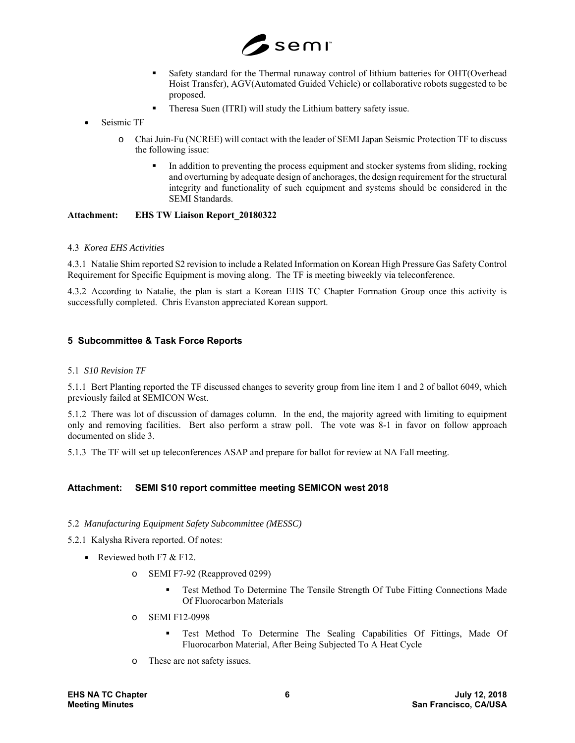

- Safety standard for the Thermal runaway control of lithium batteries for OHT(Overhead Hoist Transfer), AGV(Automated Guided Vehicle) or collaborative robots suggested to be proposed.
- Theresa Suen (ITRI) will study the Lithium battery safety issue.
- Seismic TF
	- o Chai Juin-Fu (NCREE) will contact with the leader of SEMI Japan Seismic Protection TF to discuss the following issue:
		- In addition to preventing the process equipment and stocker systems from sliding, rocking and overturning by adequate design of anchorages, the design requirement for the structural integrity and functionality of such equipment and systems should be considered in the SEMI Standards.

### **Attachment: EHS TW Liaison Report\_20180322**

#### 4.3 *Korea EHS Activities*

4.3.1 Natalie Shim reported S2 revision to include a Related Information on Korean High Pressure Gas Safety Control Requirement for Specific Equipment is moving along. The TF is meeting biweekly via teleconference.

4.3.2 According to Natalie, the plan is start a Korean EHS TC Chapter Formation Group once this activity is successfully completed. Chris Evanston appreciated Korean support.

## **5 Subcommittee & Task Force Reports**

#### 5.1 *S10 Revision TF*

5.1.1 Bert Planting reported the TF discussed changes to severity group from line item 1 and 2 of ballot 6049, which previously failed at SEMICON West.

5.1.2 There was lot of discussion of damages column. In the end, the majority agreed with limiting to equipment only and removing facilities. Bert also perform a straw poll. The vote was 8-1 in favor on follow approach documented on slide 3.

5.1.3 The TF will set up teleconferences ASAP and prepare for ballot for review at NA Fall meeting.

### **Attachment: SEMI S10 report committee meeting SEMICON west 2018**

### 5.2 *Manufacturing Equipment Safety Subcommittee (MESSC)*

- 5.2.1 Kalysha Rivera reported. Of notes:
	- Reviewed both F7  $&$  F12.
		- o SEMI F7-92 (Reapproved 0299)
			- Test Method To Determine The Tensile Strength Of Tube Fitting Connections Made Of Fluorocarbon Materials
		- o SEMI F12-0998
			- Test Method To Determine The Sealing Capabilities Of Fittings, Made Of Fluorocarbon Material, After Being Subjected To A Heat Cycle
		- o These are not safety issues.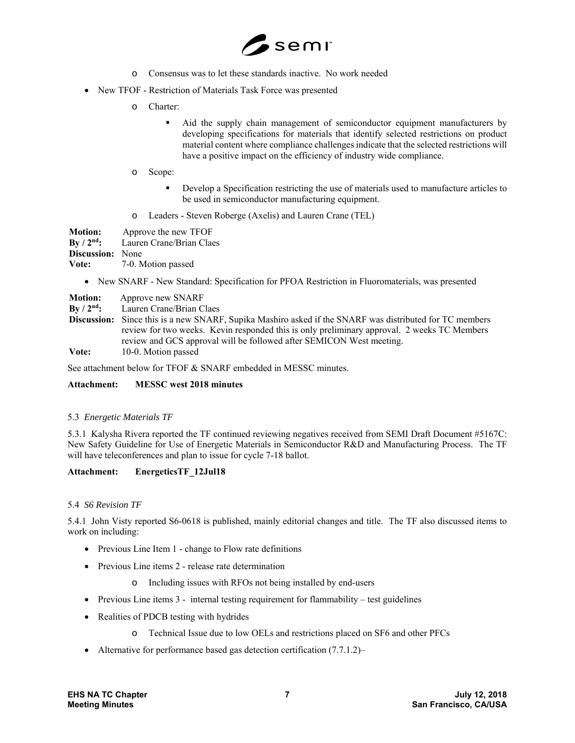

- o Consensus was to let these standards inactive. No work needed
- New TFOF Restriction of Materials Task Force was presented
	- o Charter:
		- Aid the supply chain management of semiconductor equipment manufacturers by developing specifications for materials that identify selected restrictions on product material content where compliance challenges indicate that the selected restrictions will have a positive impact on the efficiency of industry wide compliance.
	- o Scope:
		- Develop a Specification restricting the use of materials used to manufacture articles to be used in semiconductor manufacturing equipment.
	- o Leaders Steven Roberge (Axelis) and Lauren Crane (TEL)

| <b>Motion:</b>          | Approve the new TFOF     |
|-------------------------|--------------------------|
| $By / 2nd$ :            | Lauren Crane/Brian Claes |
| <b>Discussion:</b> None |                          |
| Vote:                   | 7-0. Motion passed       |

• New SNARF - New Standard: Specification for PFOA Restriction in Fluoromaterials, was presented

**Motion:** Approve new SNARF **By / 2nd:** Lauren Crane/Brian Claes **Discussion:** Since this is a new SNARF, Supika Mashiro asked if the SNARF was distributed for TC members review for two weeks. Kevin responded this is only preliminary approval. 2 weeks TC Members review and GCS approval will be followed after SEMICON West meeting.

**Vote:** 10-0. Motion passed

See attachment below for TFOF & SNARF embedded in MESSC minutes.

#### **Attachment: MESSC west 2018 minutes**

#### 5.3 *Energetic Materials TF*

5.3.1 Kalysha Rivera reported the TF continued reviewing negatives received from SEMI Draft Document #5167C: New Safety Guideline for Use of Energetic Materials in Semiconductor R&D and Manufacturing Process. The TF will have teleconferences and plan to issue for cycle 7-18 ballot.

### **Attachment: EnergeticsTF\_12Jul18**

#### 5.4 *S6 Revision TF*

5.4.1 John Visty reported S6-0618 is published, mainly editorial changes and title. The TF also discussed items to work on including:

- Previous Line Item 1 change to Flow rate definitions
- Previous Line items 2 release rate determination
	- o Including issues with RFOs not being installed by end-users
- Previous Line items  $3$  internal testing requirement for flammability test guidelines
- Realities of PDCB testing with hydrides
	- o Technical Issue due to low OELs and restrictions placed on SF6 and other PFCs
- Alternative for performance based gas detection certification (7.7.1.2)–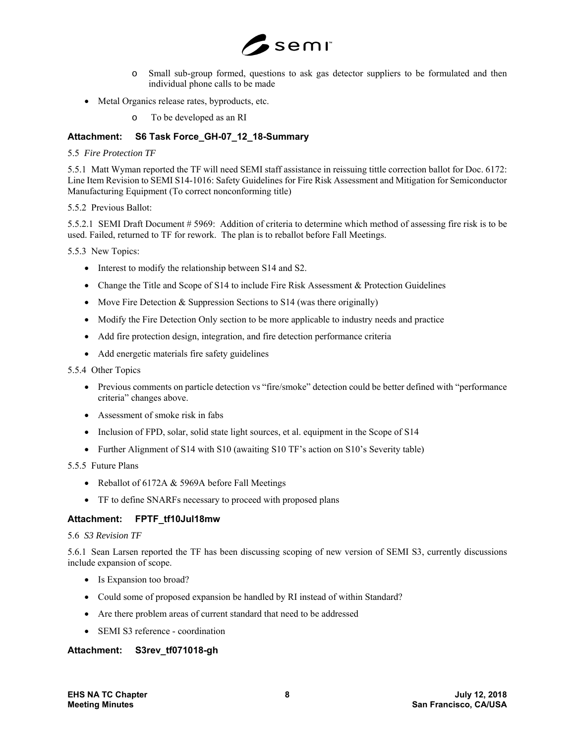

- o Small sub-group formed, questions to ask gas detector suppliers to be formulated and then individual phone calls to be made
- Metal Organics release rates, byproducts, etc.
	- o To be developed as an RI

## **Attachment: S6 Task Force\_GH-07\_12\_18-Summary**

5.5 *Fire Protection TF* 

5.5.1 Matt Wyman reported the TF will need SEMI staff assistance in reissuing tittle correction ballot for Doc. 6172: Line Item Revision to SEMI S14-1016: Safety Guidelines for Fire Risk Assessment and Mitigation for Semiconductor Manufacturing Equipment (To correct nonconforming title)

#### 5.5.2 Previous Ballot:

5.5.2.1 SEMI Draft Document # 5969: Addition of criteria to determine which method of assessing fire risk is to be used. Failed, returned to TF for rework. The plan is to reballot before Fall Meetings.

5.5.3 New Topics:

- Interest to modify the relationship between S14 and S2.
- Change the Title and Scope of S14 to include Fire Risk Assessment & Protection Guidelines
- Move Fire Detection  $&$  Suppression Sections to S14 (was there originally)
- Modify the Fire Detection Only section to be more applicable to industry needs and practice
- Add fire protection design, integration, and fire detection performance criteria
- Add energetic materials fire safety guidelines

#### 5.5.4 Other Topics

- Previous comments on particle detection vs "fire/smoke" detection could be better defined with "performance criteria" changes above.
- Assessment of smoke risk in fabs
- Inclusion of FPD, solar, solid state light sources, et al. equipment in the Scope of S14
- Further Alignment of S14 with S10 (awaiting S10 TF's action on S10's Severity table)

5.5.5 Future Plans

- Reballot of 6172A & 5969A before Fall Meetings
- TF to define SNARFs necessary to proceed with proposed plans

### **Attachment: FPTF\_tf10Jul18mw**

#### 5.6 *S3 Revision TF*

5.6.1 Sean Larsen reported the TF has been discussing scoping of new version of SEMI S3, currently discussions include expansion of scope.

- Is Expansion too broad?
- Could some of proposed expansion be handled by RI instead of within Standard?
- Are there problem areas of current standard that need to be addressed
- SEMI S3 reference coordination

## **Attachment: S3rev\_tf071018-gh**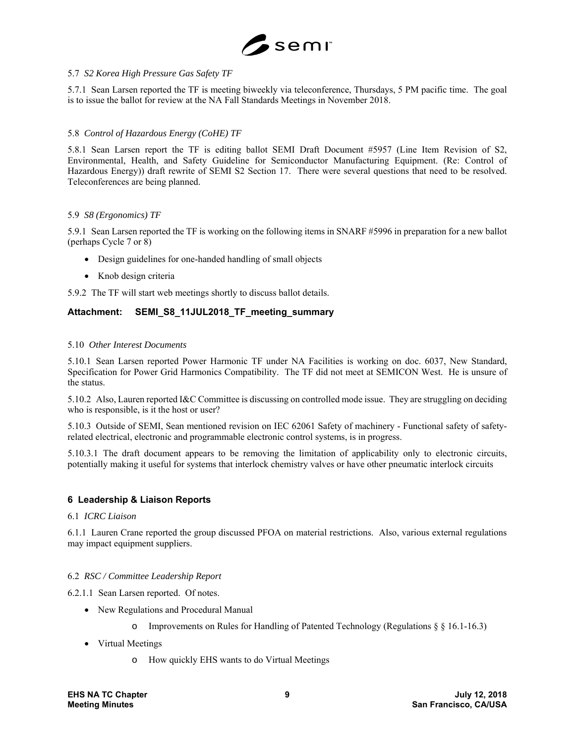

### 5.7 *S2 Korea High Pressure Gas Safety TF*

5.7.1 Sean Larsen reported the TF is meeting biweekly via teleconference, Thursdays, 5 PM pacific time. The goal is to issue the ballot for review at the NA Fall Standards Meetings in November 2018.

### 5.8 *Control of Hazardous Energy (CoHE) TF*

5.8.1 Sean Larsen report the TF is editing ballot SEMI Draft Document #5957 (Line Item Revision of S2, Environmental, Health, and Safety Guideline for Semiconductor Manufacturing Equipment. (Re: Control of Hazardous Energy)) draft rewrite of SEMI S2 Section 17. There were several questions that need to be resolved. Teleconferences are being planned.

#### 5.9 *S8 (Ergonomics) TF*

5.9.1 Sean Larsen reported the TF is working on the following items in SNARF #5996 in preparation for a new ballot (perhaps Cycle 7 or 8)

- Design guidelines for one-handed handling of small objects
- Knob design criteria

5.9.2 The TF will start web meetings shortly to discuss ballot details.

## **Attachment: SEMI\_S8\_11JUL2018\_TF\_meeting\_summary**

#### 5.10 *Other Interest Documents*

5.10.1 Sean Larsen reported Power Harmonic TF under NA Facilities is working on doc. 6037, New Standard, Specification for Power Grid Harmonics Compatibility. The TF did not meet at SEMICON West. He is unsure of the status.

5.10.2 Also, Lauren reported I&C Committee is discussing on controlled mode issue. They are struggling on deciding who is responsible, is it the host or user?

5.10.3 Outside of SEMI, Sean mentioned revision on IEC 62061 Safety of machinery - Functional safety of safetyrelated electrical, electronic and programmable electronic control systems, is in progress.

5.10.3.1 The draft document appears to be removing the limitation of applicability only to electronic circuits, potentially making it useful for systems that interlock chemistry valves or have other pneumatic interlock circuits

### **6 Leadership & Liaison Reports**

### 6.1 *ICRC Liaison*

6.1.1 Lauren Crane reported the group discussed PFOA on material restrictions. Also, various external regulations may impact equipment suppliers.

### 6.2 *RSC / Committee Leadership Report*

6.2.1.1 Sean Larsen reported. Of notes.

- New Regulations and Procedural Manual
	- $\circ$  Improvements on Rules for Handling of Patented Technology (Regulations § § 16.1-16.3)
- Virtual Meetings
	- o How quickly EHS wants to do Virtual Meetings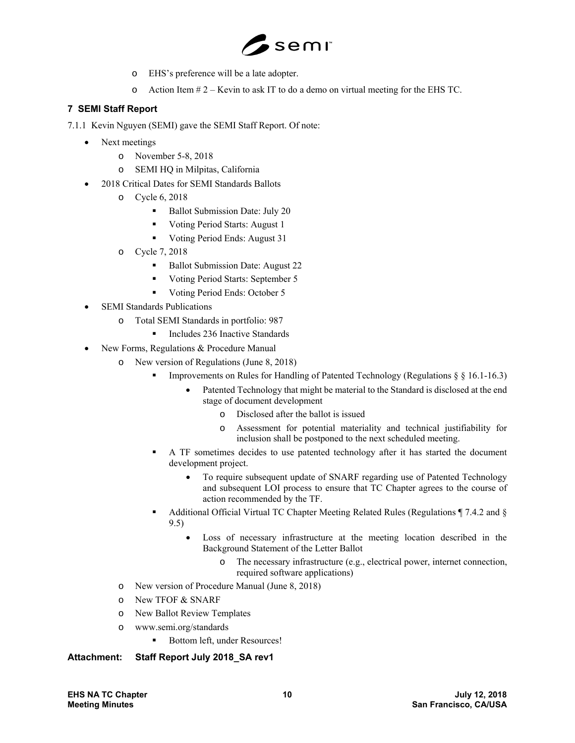

- o EHS's preference will be a late adopter.
- $\circ$  Action Item # 2 Kevin to ask IT to do a demo on virtual meeting for the EHS TC.

# **7 SEMI Staff Report**

7.1.1 Kevin Nguyen (SEMI) gave the SEMI Staff Report. Of note:

- Next meetings
	- o November 5-8, 2018
	- o SEMI HQ in Milpitas, California
- 2018 Critical Dates for SEMI Standards Ballots
	- o Cycle 6, 2018
		- Ballot Submission Date: July 20
		- Voting Period Starts: August 1
		- Voting Period Ends: August 31
	- o Cycle 7, 2018
		- Ballot Submission Date: August 22
		- Voting Period Starts: September 5
		- Voting Period Ends: October 5
- SEMI Standards Publications
	- o Total SEMI Standards in portfolio: 987
		- Includes 236 Inactive Standards
- New Forms, Regulations & Procedure Manual
	- o New version of Regulations (June 8, 2018)
		- Improvements on Rules for Handling of Patented Technology (Regulations § § 16.1-16.3)
			- Patented Technology that might be material to the Standard is disclosed at the end stage of document development
				- o Disclosed after the ballot is issued
				- o Assessment for potential materiality and technical justifiability for inclusion shall be postponed to the next scheduled meeting.
		- A TF sometimes decides to use patented technology after it has started the document development project.
			- To require subsequent update of SNARF regarding use of Patented Technology and subsequent LOI process to ensure that TC Chapter agrees to the course of action recommended by the TF.
		- Additional Official Virtual TC Chapter Meeting Related Rules (Regulations ¶ 7.4.2 and § 9.5)
			- Loss of necessary infrastructure at the meeting location described in the Background Statement of the Letter Ballot
				- o The necessary infrastructure (e.g., electrical power, internet connection, required software applications)
	- o New version of Procedure Manual (June 8, 2018)
	- o New TFOF & SNARF
	- o New Ballot Review Templates
	- o www.semi.org/standards
		- Bottom left, under Resources!

## **Attachment: Staff Report July 2018\_SA rev1**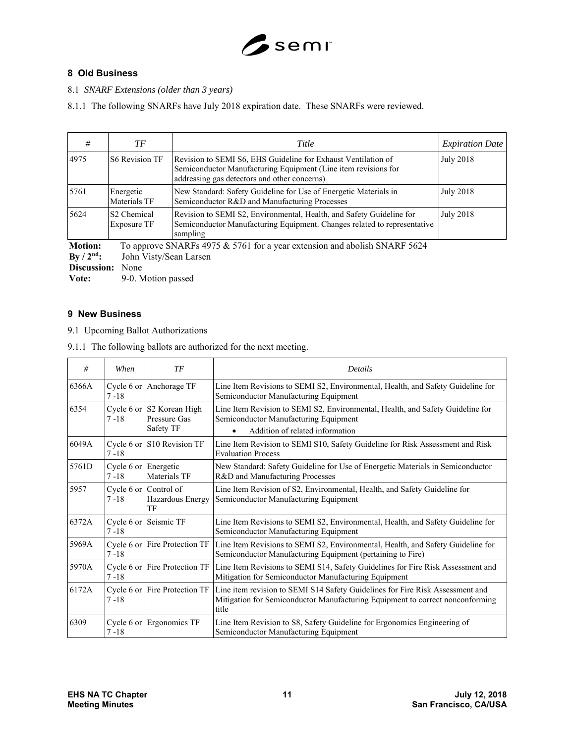

# **8 Old Business**

8.1 *SNARF Extensions (older than 3 years)* 

8.1.1 The following SNARFs have July 2018 expiration date. These SNARFs were reviewed.

| #                                             | TF                                     | Title                                                                                                                                                                           | <b>Expiration Date</b> |
|-----------------------------------------------|----------------------------------------|---------------------------------------------------------------------------------------------------------------------------------------------------------------------------------|------------------------|
| 4975                                          | <b>S6 Revision TF</b>                  | Revision to SEMI S6, EHS Guideline for Exhaust Ventilation of<br>Semiconductor Manufacturing Equipment (Line item revisions for<br>addressing gas detectors and other concerns) | <b>July 2018</b>       |
| 5761                                          | Energetic<br>Materials TF              | New Standard: Safety Guideline for Use of Energetic Materials in<br>Semiconductor R&D and Manufacturing Processes                                                               | <b>July 2018</b>       |
| 5624                                          | S <sub>2</sub> Chemical<br>Exposure TF | Revision to SEMI S2, Environmental, Health, and Safety Guideline for<br>Semiconductor Manufacturing Equipment. Changes related to representative<br>sampling                    | July 2018              |
| <b>Motion:</b><br>$By / 2nd$ :<br>Discussion: | John Visty/Sean Larsen<br>None         | To approve SNARFs 4975 & 5761 for a year extension and abolish SNARF 5624                                                                                                       |                        |

**Vote:** 9-0. Motion passed

### **9 New Business**

9.1 Upcoming Ballot Authorizations

9.1.1 The following ballots are authorized for the next meeting.

| #     | When                             | TF                                                     | Details                                                                                                                                                                 |
|-------|----------------------------------|--------------------------------------------------------|-------------------------------------------------------------------------------------------------------------------------------------------------------------------------|
| 6366A | $7 - 18$                         | Cycle 6 or Anchorage TF                                | Line Item Revisions to SEMI S2, Environmental, Health, and Safety Guideline for<br>Semiconductor Manufacturing Equipment                                                |
| 6354  | $7 - 18$                         | Cycle 6 or S2 Korean High<br>Pressure Gas<br>Safety TF | Line Item Revision to SEMI S2, Environmental, Health, and Safety Guideline for<br>Semiconductor Manufacturing Equipment<br>Addition of related information<br>$\bullet$ |
| 6049A | $7 - 18$                         | Cycle 6 or S10 Revision TF                             | Line Item Revision to SEMI S10, Safety Guideline for Risk Assessment and Risk<br><b>Evaluation Process</b>                                                              |
| 5761D | Cycle 6 or Energetic<br>$7 - 18$ | Materials TF                                           | New Standard: Safety Guideline for Use of Energetic Materials in Semiconductor<br>R&D and Manufacturing Processes                                                       |
| 5957  | $7 - 18$                         | Cycle 6 or Control of<br>Hazardous Energy<br>TF        | Line Item Revision of S2, Environmental, Health, and Safety Guideline for<br>Semiconductor Manufacturing Equipment                                                      |
| 6372A | $7 - 18$                         | Cycle 6 or Seismic TF                                  | Line Item Revisions to SEMI S2, Environmental, Health, and Safety Guideline for<br>Semiconductor Manufacturing Equipment                                                |
| 5969A | $7 - 18$                         | Cycle 6 or Fire Protection TF                          | Line Item Revisions to SEMI S2, Environmental, Health, and Safety Guideline for<br>Semiconductor Manufacturing Equipment (pertaining to Fire)                           |
| 5970A | $7 - 18$                         | Cycle 6 or Fire Protection TF                          | Line Item Revisions to SEMI S14, Safety Guidelines for Fire Risk Assessment and<br>Mitigation for Semiconductor Manufacturing Equipment                                 |
| 6172A | $7 - 18$                         | Cycle 6 or Fire Protection TF                          | Line item revision to SEMI S14 Safety Guidelines for Fire Risk Assessment and<br>Mitigation for Semiconductor Manufacturing Equipment to correct nonconforming<br>title |
| 6309  | $7 - 18$                         | Cycle 6 or Ergonomics TF                               | Line Item Revision to S8, Safety Guideline for Ergonomics Engineering of<br>Semiconductor Manufacturing Equipment                                                       |